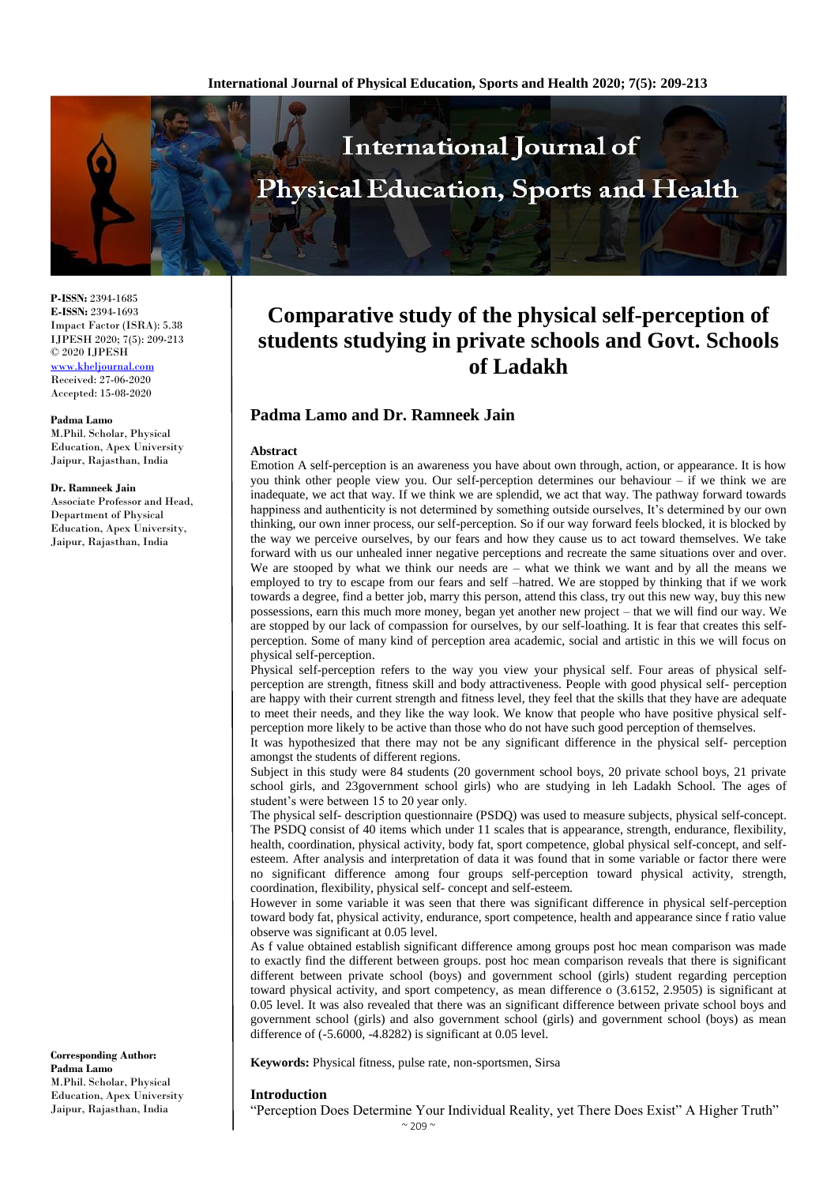

**P-ISSN:** 2394-1685 **E-ISSN:** 2394-1693 Impact Factor (ISRA): 5.38 IJPESH 2020; 7(5): 209-213 © 2020 IJPESH <www.kheljournal.com> Received: 27-06-2020 Accepted: 15-08-2020

**Padma Lamo** M.Phil. Scholar, Physical Education, Apex University Jaipur, Rajasthan, India

#### **Dr. Ramneek Jain**

Associate Professor and Head, Department of Physical Education, Apex University, Jaipur, Rajasthan, India

**Corresponding Author: Padma Lamo** M.Phil. Scholar, Physical Education, Apex University Jaipur, Rajasthan, India

# **Comparative study of the physical self-perception of students studying in private schools and Govt. Schools of Ladakh**

## **Padma Lamo and Dr. Ramneek Jain**

#### **Abstract**

Emotion A self-perception is an awareness you have about own through, action, or appearance. It is how you think other people view you. Our self-perception determines our behaviour – if we think we are inadequate, we act that way. If we think we are splendid, we act that way. The pathway forward towards happiness and authenticity is not determined by something outside ourselves, It's determined by our own thinking, our own inner process, our self-perception. So if our way forward feels blocked, it is blocked by the way we perceive ourselves, by our fears and how they cause us to act toward themselves. We take forward with us our unhealed inner negative perceptions and recreate the same situations over and over. We are stooped by what we think our needs are – what we think we want and by all the means we employed to try to escape from our fears and self –hatred. We are stopped by thinking that if we work towards a degree, find a better job, marry this person, attend this class, try out this new way, buy this new possessions, earn this much more money, began yet another new project – that we will find our way. We are stopped by our lack of compassion for ourselves, by our self-loathing. It is fear that creates this selfperception. Some of many kind of perception area academic, social and artistic in this we will focus on physical self-perception.

Physical self-perception refers to the way you view your physical self. Four areas of physical selfperception are strength, fitness skill and body attractiveness. People with good physical self- perception are happy with their current strength and fitness level, they feel that the skills that they have are adequate to meet their needs, and they like the way look. We know that people who have positive physical selfperception more likely to be active than those who do not have such good perception of themselves.

It was hypothesized that there may not be any significant difference in the physical self- perception amongst the students of different regions.

Subject in this study were 84 students (20 government school boys, 20 private school boys, 21 private school girls, and 23government school girls) who are studying in leh Ladakh School. The ages of student's were between 15 to 20 year only.

The physical self- description questionnaire (PSDQ) was used to measure subjects, physical self-concept. The PSDQ consist of 40 items which under 11 scales that is appearance, strength, endurance, flexibility, health, coordination, physical activity, body fat, sport competence, global physical self-concept, and selfesteem. After analysis and interpretation of data it was found that in some variable or factor there were no significant difference among four groups self-perception toward physical activity, strength, coordination, flexibility, physical self- concept and self-esteem.

However in some variable it was seen that there was significant difference in physical self-perception toward body fat, physical activity, endurance, sport competence, health and appearance since f ratio value observe was significant at 0.05 level.

As f value obtained establish significant difference among groups post hoc mean comparison was made to exactly find the different between groups. post hoc mean comparison reveals that there is significant different between private school (boys) and government school (girls) student regarding perception toward physical activity, and sport competency, as mean difference o (3.6152, 2.9505) is significant at 0.05 level. It was also revealed that there was an significant difference between private school boys and government school (girls) and also government school (girls) and government school (boys) as mean difference of (-5.6000, -4.8282) is significant at 0.05 level.

**Keywords:** Physical fitness, pulse rate, non-sportsmen, Sirsa

#### **Introduction**

"Perception Does Determine Your Individual Reality, yet There Does Exist" A Higher Truth"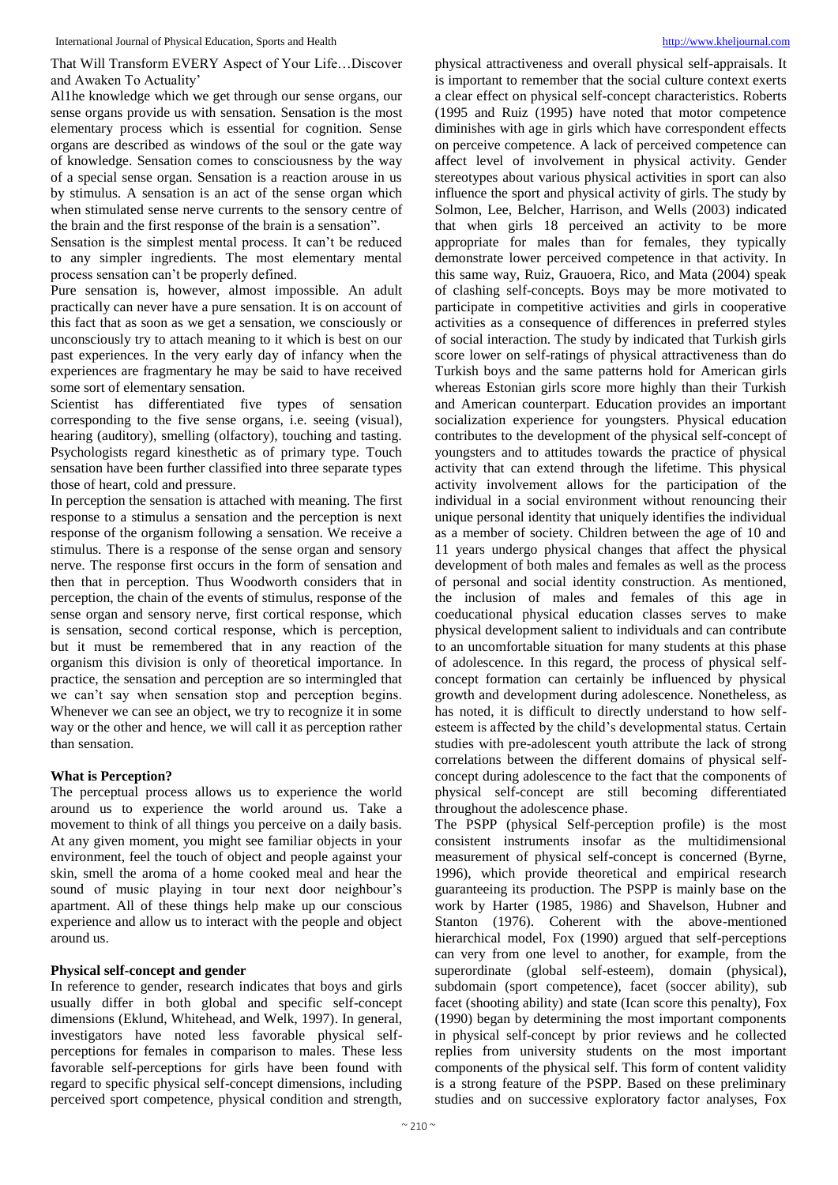That Will Transform EVERY Aspect of Your Life…Discover and Awaken To Actuality'

Al1he knowledge which we get through our sense organs, our sense organs provide us with sensation. Sensation is the most elementary process which is essential for cognition. Sense organs are described as windows of the soul or the gate way of knowledge. Sensation comes to consciousness by the way of a special sense organ. Sensation is a reaction arouse in us by stimulus. A sensation is an act of the sense organ which when stimulated sense nerve currents to the sensory centre of the brain and the first response of the brain is a sensation".

Sensation is the simplest mental process. It can't be reduced to any simpler ingredients. The most elementary mental process sensation can't be properly defined.

Pure sensation is, however, almost impossible. An adult practically can never have a pure sensation. It is on account of this fact that as soon as we get a sensation, we consciously or unconsciously try to attach meaning to it which is best on our past experiences. In the very early day of infancy when the experiences are fragmentary he may be said to have received some sort of elementary sensation.

Scientist has differentiated five types of sensation corresponding to the five sense organs, i.e. seeing (visual), hearing (auditory), smelling (olfactory), touching and tasting. Psychologists regard kinesthetic as of primary type. Touch sensation have been further classified into three separate types those of heart, cold and pressure.

In perception the sensation is attached with meaning. The first response to a stimulus a sensation and the perception is next response of the organism following a sensation. We receive a stimulus. There is a response of the sense organ and sensory nerve. The response first occurs in the form of sensation and then that in perception. Thus Woodworth considers that in perception, the chain of the events of stimulus, response of the sense organ and sensory nerve, first cortical response, which is sensation, second cortical response, which is perception, but it must be remembered that in any reaction of the organism this division is only of theoretical importance. In practice, the sensation and perception are so intermingled that we can't say when sensation stop and perception begins. Whenever we can see an object, we try to recognize it in some way or the other and hence, we will call it as perception rather than sensation.

### **What is Perception?**

The perceptual process allows us to experience the world around us to experience the world around us. Take a movement to think of all things you perceive on a daily basis. At any given moment, you might see familiar objects in your environment, feel the touch of object and people against your skin, smell the aroma of a home cooked meal and hear the sound of music playing in tour next door neighbour's apartment. All of these things help make up our conscious experience and allow us to interact with the people and object around us.

#### **Physical self-concept and gender**

In reference to gender, research indicates that boys and girls usually differ in both global and specific self-concept dimensions (Eklund, Whitehead, and Welk, 1997). In general, investigators have noted less favorable physical selfperceptions for females in comparison to males. These less favorable self-perceptions for girls have been found with regard to specific physical self-concept dimensions, including perceived sport competence, physical condition and strength,

physical attractiveness and overall physical self-appraisals. It is important to remember that the social culture context exerts a clear effect on physical self-concept characteristics. Roberts (1995 and Ruiz (1995) have noted that motor competence diminishes with age in girls which have correspondent effects on perceive competence. A lack of perceived competence can affect level of involvement in physical activity. Gender stereotypes about various physical activities in sport can also influence the sport and physical activity of girls. The study by Solmon, Lee, Belcher, Harrison, and Wells (2003) indicated that when girls 18 perceived an activity to be more appropriate for males than for females, they typically demonstrate lower perceived competence in that activity. In this same way, Ruiz, Grauoera, Rico, and Mata (2004) speak of clashing self-concepts. Boys may be more motivated to participate in competitive activities and girls in cooperative activities as a consequence of differences in preferred styles of social interaction. The study by indicated that Turkish girls score lower on self-ratings of physical attractiveness than do Turkish boys and the same patterns hold for American girls whereas Estonian girls score more highly than their Turkish and American counterpart. Education provides an important socialization experience for youngsters. Physical education contributes to the development of the physical self-concept of youngsters and to attitudes towards the practice of physical activity that can extend through the lifetime. This physical activity involvement allows for the participation of the individual in a social environment without renouncing their unique personal identity that uniquely identifies the individual as a member of society. Children between the age of 10 and 11 years undergo physical changes that affect the physical development of both males and females as well as the process of personal and social identity construction. As mentioned, the inclusion of males and females of this age in coeducational physical education classes serves to make physical development salient to individuals and can contribute to an uncomfortable situation for many students at this phase of adolescence. In this regard, the process of physical selfconcept formation can certainly be influenced by physical growth and development during adolescence. Nonetheless, as has noted, it is difficult to directly understand to how selfesteem is affected by the child's developmental status. Certain studies with pre-adolescent youth attribute the lack of strong correlations between the different domains of physical selfconcept during adolescence to the fact that the components of physical self-concept are still becoming differentiated throughout the adolescence phase.

The PSPP (physical Self-perception profile) is the most consistent instruments insofar as the multidimensional measurement of physical self-concept is concerned (Byrne, 1996), which provide theoretical and empirical research guaranteeing its production. The PSPP is mainly base on the work by Harter (1985, 1986) and Shavelson, Hubner and Stanton (1976). Coherent with the above-mentioned hierarchical model, Fox (1990) argued that self-perceptions can very from one level to another, for example, from the superordinate (global self-esteem), domain (physical), subdomain (sport competence), facet (soccer ability), sub facet (shooting ability) and state (Ican score this penalty), Fox (1990) began by determining the most important components in physical self-concept by prior reviews and he collected replies from university students on the most important components of the physical self. This form of content validity is a strong feature of the PSPP. Based on these preliminary studies and on successive exploratory factor analyses, Fox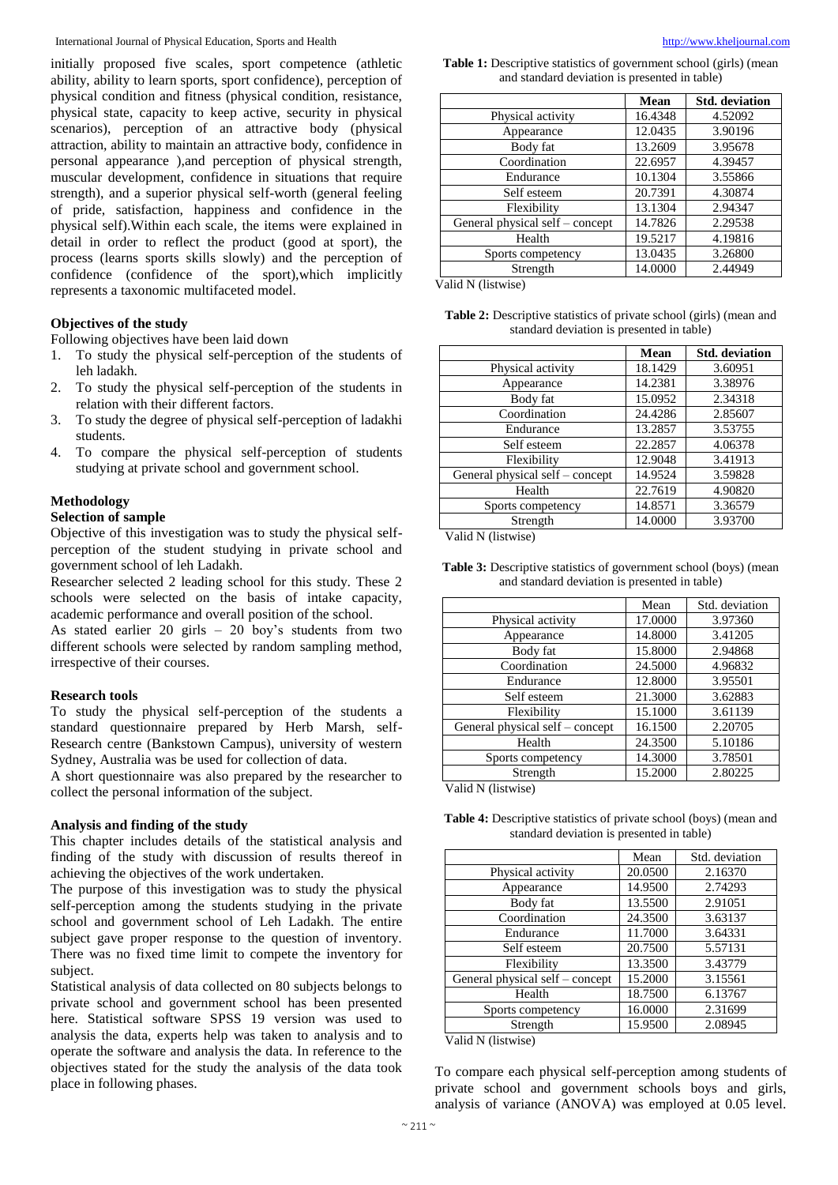initially proposed five scales, sport competence (athletic ability, ability to learn sports, sport confidence), perception of physical condition and fitness (physical condition, resistance, physical state, capacity to keep active, security in physical scenarios), perception of an attractive body (physical attraction, ability to maintain an attractive body, confidence in personal appearance ),and perception of physical strength, muscular development, confidence in situations that require strength), and a superior physical self-worth (general feeling of pride, satisfaction, happiness and confidence in the physical self).Within each scale, the items were explained in detail in order to reflect the product (good at sport), the process (learns sports skills slowly) and the perception of confidence (confidence of the sport),which implicitly represents a taxonomic multifaceted model.

#### **Objectives of the study**

Following objectives have been laid down

- 1. To study the physical self-perception of the students of leh ladakh.
- 2. To study the physical self-perception of the students in relation with their different factors.
- 3. To study the degree of physical self-perception of ladakhi students.
- 4. To compare the physical self-perception of students studying at private school and government school.

#### **Methodology**

#### **Selection of sample**

Objective of this investigation was to study the physical selfperception of the student studying in private school and government school of leh Ladakh.

Researcher selected 2 leading school for this study. These 2 schools were selected on the basis of intake capacity, academic performance and overall position of the school.

As stated earlier 20 girls – 20 boy's students from two different schools were selected by random sampling method, irrespective of their courses.

#### **Research tools**

To study the physical self-perception of the students a standard questionnaire prepared by Herb Marsh, self-Research centre (Bankstown Campus), university of western Sydney, Australia was be used for collection of data.

A short questionnaire was also prepared by the researcher to collect the personal information of the subject.

#### **Analysis and finding of the study**

This chapter includes details of the statistical analysis and finding of the study with discussion of results thereof in achieving the objectives of the work undertaken.

The purpose of this investigation was to study the physical self-perception among the students studying in the private school and government school of Leh Ladakh. The entire subject gave proper response to the question of inventory. There was no fixed time limit to compete the inventory for subject.

Statistical analysis of data collected on 80 subjects belongs to private school and government school has been presented here. Statistical software SPSS 19 version was used to analysis the data, experts help was taken to analysis and to operate the software and analysis the data. In reference to the objectives stated for the study the analysis of the data took place in following phases.

**Table 1:** Descriptive statistics of government school (girls) (mean and standard deviation is presented in table)

|                                 | Mean    | <b>Std.</b> deviation |
|---------------------------------|---------|-----------------------|
| Physical activity               | 16.4348 | 4.52092               |
| Appearance                      | 12.0435 | 3.90196               |
| Body fat                        | 13.2609 | 3.95678               |
| Coordination                    | 22.6957 | 4.39457               |
| Endurance                       | 10.1304 | 3.55866               |
| Self esteem                     | 20.7391 | 4.30874               |
| Flexibility                     | 13.1304 | 2.94347               |
| General physical self - concept | 14.7826 | 2.29538               |
| Health                          | 19.5217 | 4.19816               |
| Sports competency               | 13.0435 | 3.26800               |
| Strength                        | 14.0000 | 2.44949               |

Valid N (listwise)

**Table 2:** Descriptive statistics of private school (girls) (mean and standard deviation is presented in table)

|                                 | Mean    | <b>Std.</b> deviation |
|---------------------------------|---------|-----------------------|
| Physical activity               | 18.1429 | 3.60951               |
| Appearance                      | 14.2381 | 3.38976               |
| Body fat                        | 15.0952 | 2.34318               |
| Coordination                    | 24.4286 | 2.85607               |
| Endurance                       | 13.2857 | 3.53755               |
| Self esteem                     | 22.2857 | 4.06378               |
| Flexibility                     | 12.9048 | 3.41913               |
| General physical self - concept | 14.9524 | 3.59828               |
| Health                          | 22.7619 | 4.90820               |
| Sports competency               | 14.8571 | 3.36579               |
| Strength                        | 14.0000 | 3.93700               |
| $U_{\rm eff}$ 1: 1 M $(1:11)$   |         |                       |

Valid N (listwise)

| <b>Table 3:</b> Descriptive statistics of government school (boys) (mean |
|--------------------------------------------------------------------------|
| and standard deviation is presented in table)                            |

|                                 | Mean    | Std. deviation |
|---------------------------------|---------|----------------|
| Physical activity               | 17.0000 | 3.97360        |
| Appearance                      | 14.8000 | 3.41205        |
| Body fat                        | 15.8000 | 2.94868        |
| Coordination                    | 24.5000 | 4.96832        |
| Endurance                       | 12.8000 | 3.95501        |
| Self esteem                     | 21.3000 | 3.62883        |
| Flexibility                     | 15.1000 | 3.61139        |
| General physical self - concept | 16.1500 | 2.20705        |
| Health                          | 24.3500 | 5.10186        |
| Sports competency               | 14.3000 | 3.78501        |
| Strength                        | 15.2000 | 2.80225        |
| Volid N (lietwice)              |         |                |

Valid N (listwise)

| <b>Table 4:</b> Descriptive statistics of private school (boys) (mean and |
|---------------------------------------------------------------------------|
| standard deviation is presented in table)                                 |

|                                 | Mean    | Std. deviation |
|---------------------------------|---------|----------------|
| Physical activity               | 20.0500 | 2.16370        |
| Appearance                      | 14.9500 | 2.74293        |
| Body fat                        | 13.5500 | 2.91051        |
| Coordination                    | 24.3500 | 3.63137        |
| Endurance                       | 11.7000 | 3.64331        |
| Self esteem                     | 20.7500 | 5.57131        |
| Flexibility                     | 13.3500 | 3.43779        |
| General physical self - concept | 15.2000 | 3.15561        |
| Health                          | 18.7500 | 6.13767        |
| Sports competency               | 16.0000 | 2.31699        |
| Strength                        | 15.9500 | 2.08945        |

Valid N (listwise)

To compare each physical self-perception among students of private school and government schools boys and girls, analysis of variance (ANOVA) was employed at 0.05 level.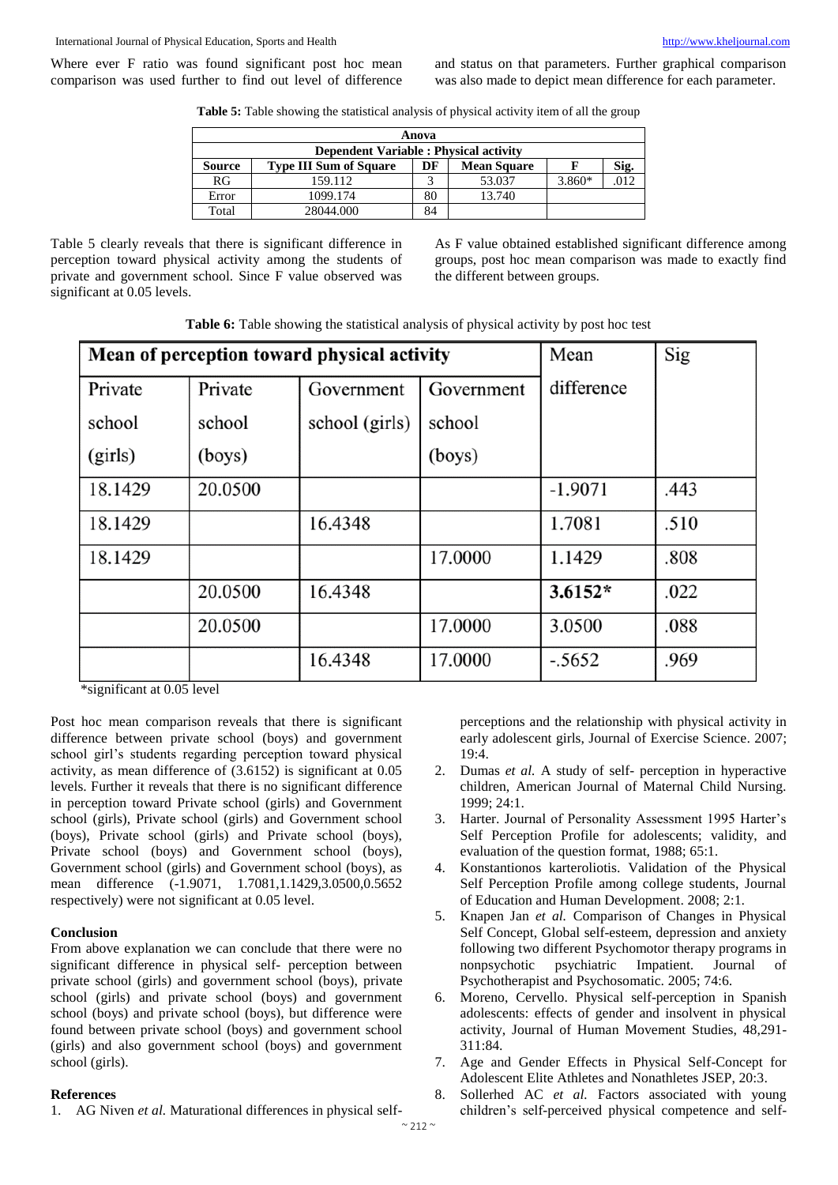Where ever F ratio was found significant post hoc mean comparison was used further to find out level of difference and status on that parameters. Further graphical comparison was also made to depict mean difference for each parameter.

**Table 5:** Table showing the statistical analysis of physical activity item of all the group

| Anova                                                                      |           |    |        |          |      |  |
|----------------------------------------------------------------------------|-----------|----|--------|----------|------|--|
| <b>Dependent Variable: Physical activity</b>                               |           |    |        |          |      |  |
| <b>Mean Square</b><br><b>Source</b><br><b>Type III Sum of Square</b><br>DF |           |    |        |          |      |  |
| RG                                                                         | 159.112   |    | 53.037 | $3.860*$ | .012 |  |
| Error                                                                      | 1099.174  | 80 | 13.740 |          |      |  |
| Total                                                                      | 28044.000 | 84 |        |          |      |  |

Table 5 clearly reveals that there is significant difference in perception toward physical activity among the students of private and government school. Since F value observed was significant at 0.05 levels.

As F value obtained established significant difference among groups, post hoc mean comparison was made to exactly find the different between groups.

|  |  |  |  |  |  |  | Table 6: Table showing the statistical analysis of physical activity by post hoc test |
|--|--|--|--|--|--|--|---------------------------------------------------------------------------------------|
|--|--|--|--|--|--|--|---------------------------------------------------------------------------------------|

|         | Mean of perception toward physical activity | Mean           | Sig        |            |      |
|---------|---------------------------------------------|----------------|------------|------------|------|
| Private | Private                                     | Government     | Government | difference |      |
| school  | school                                      | school (girls) | school     |            |      |
| (girls) | (boys)                                      |                | (boys)     |            |      |
| 18.1429 | 20.0500                                     |                |            | $-1.9071$  | .443 |
| 18.1429 |                                             | 16.4348        |            | 1.7081     | .510 |
| 18.1429 |                                             |                | 17.0000    | 1.1429     | .808 |
|         | 20.0500                                     | 16.4348        |            | $3.6152*$  | .022 |
|         | 20.0500                                     |                | 17.0000    | 3.0500     | .088 |
|         |                                             | 16.4348        | 17.0000    | $-.5652$   | .969 |

\*significant at 0.05 level

Post hoc mean comparison reveals that there is significant difference between private school (boys) and government school girl's students regarding perception toward physical activity, as mean difference of (3.6152) is significant at 0.05 levels. Further it reveals that there is no significant difference in perception toward Private school (girls) and Government school (girls), Private school (girls) and Government school (boys), Private school (girls) and Private school (boys), Private school (boys) and Government school (boys), Government school (girls) and Government school (boys), as mean difference (-1.9071, 1.7081,1.1429,3.0500,0.5652) respectively) were not significant at 0.05 level.

#### **Conclusion**

From above explanation we can conclude that there were no significant difference in physical self- perception between private school (girls) and government school (boys), private school (girls) and private school (boys) and government school (boys) and private school (boys), but difference were found between private school (boys) and government school (girls) and also government school (boys) and government school (girls).

#### **References**

1. AG Niven *et al.* Maturational differences in physical self-

perceptions and the relationship with physical activity in early adolescent girls, Journal of Exercise Science. 2007; 19:4.

- 2. Dumas *et al.* A study of self- perception in hyperactive children, American Journal of Maternal Child Nursing. 1999; 24:1.
- 3. Harter. Journal of Personality Assessment 1995 Harter's Self Perception Profile for adolescents; validity, and evaluation of the question format, 1988; 65:1.
- 4. Konstantionos karteroliotis. Validation of the Physical Self Perception Profile among college students, Journal of Education and Human Development. 2008; 2:1.
- 5. Knapen Jan *et al.* Comparison of Changes in Physical Self Concept, Global self-esteem, depression and anxiety following two different Psychomotor therapy programs in nonpsychotic psychiatric Impatient. Journal Psychotherapist and Psychosomatic. 2005; 74:6.
- 6. Moreno, Cervello. Physical self-perception in Spanish adolescents: effects of gender and insolvent in physical activity, Journal of Human Movement Studies, 48,291- 311:84.
- 7. Age and Gender Effects in Physical Self-Concept for Adolescent Elite Athletes and Nonathletes JSEP, 20:3.
- 8. Sollerhed AC *et al.* Factors associated with young children's self-perceived physical competence and self-